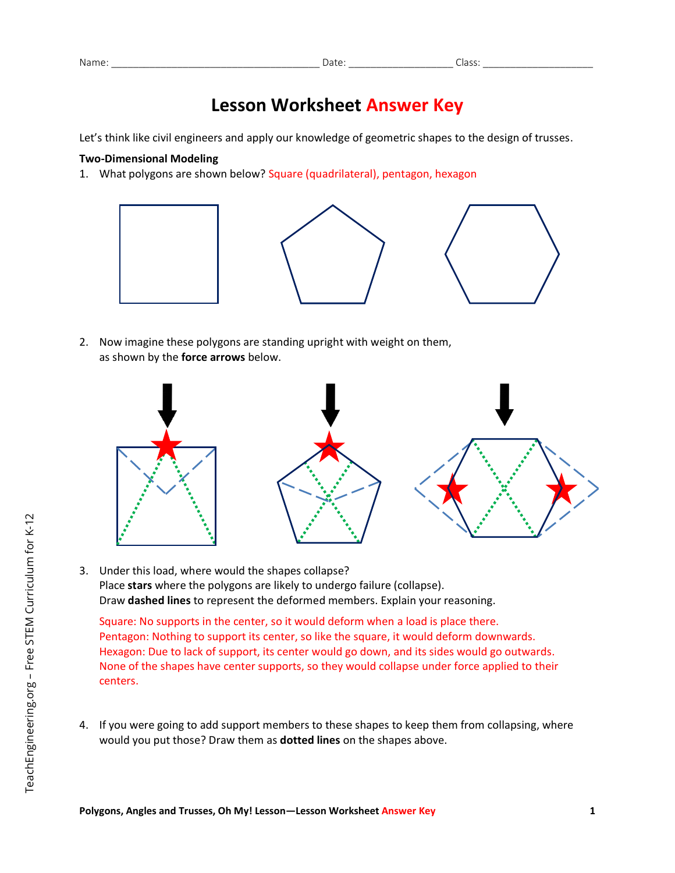## **Lesson Worksheet Answer Key**

Let's think like civil engineers and apply our knowledge of geometric shapes to the design of trusses.

## **Two-Dimensional Modeling**

1. What polygons are shown below? Square (quadrilateral), pentagon, hexagon



2. Now imagine these polygons are standing upright with weight on them, as shown by the **force arrows** below.



3. Under this load, where would the shapes collapse? Place **stars** where the polygons are likely to undergo failure (collapse). Draw **dashed lines** to represent the deformed members. Explain your reasoning.

Square: No supports in the center, so it would deform when a load is place there. Pentagon: Nothing to support its center, so like the square, it would deform downwards. Hexagon: Due to lack of support, its center would go down, and its sides would go outwards. None of the shapes have center supports, so they would collapse under force applied to their centers.

4. If you were going to add support members to these shapes to keep them from collapsing, where would you put those? Draw them as **dotted lines** on the shapes above.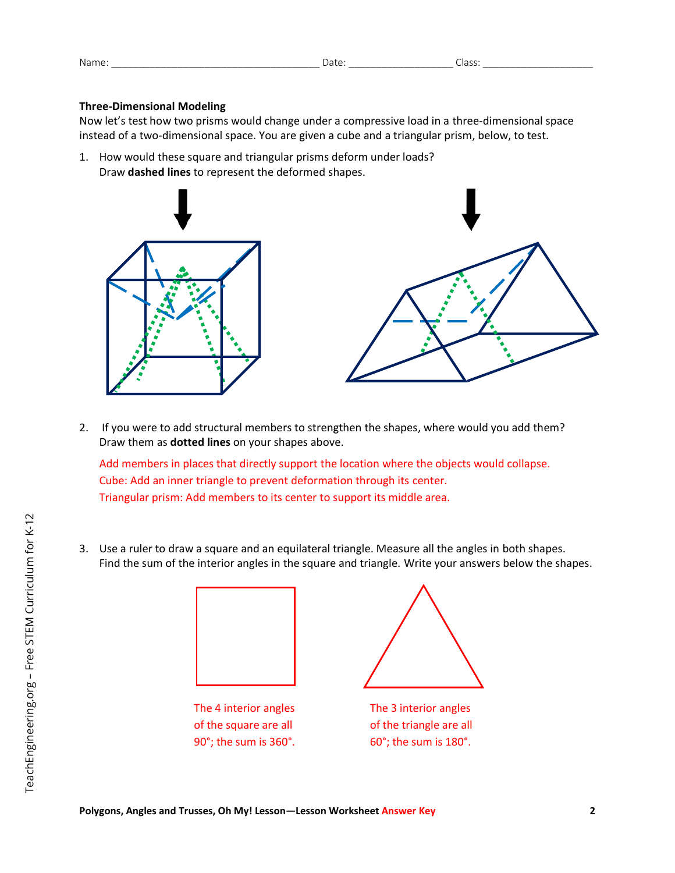| Nami<br>$-$ | $\overline{1}$<br>. |
|-------------|---------------------|
|             |                     |

## **Three-Dimensional Modeling**

Now let's test how two prisms would change under a compressive load in a three-dimensional space instead of a two-dimensional space. You are given a cube and a triangular prism, below, to test.

1. How would these square and triangular prisms deform under loads? Draw **dashed lines** to represent the deformed shapes.





2. If you were to add structural members to strengthen the shapes, where would you add them? Draw them as **dotted lines** on your shapes above.

Add members in places that directly support the location where the objects would collapse. Cube: Add an inner triangle to prevent deformation through its center. Triangular prism: Add members to its center to support its middle area.

3. Use a ruler to draw a square and an equilateral triangle. Measure all the angles in both shapes. Find the sum of the interior angles in the square and triangle. Write your answers below the shapes.



The 4 interior angles of the square are all 90°; the sum is 360°.



The 3 interior angles of the triangle are all 60°; the sum is 180°.